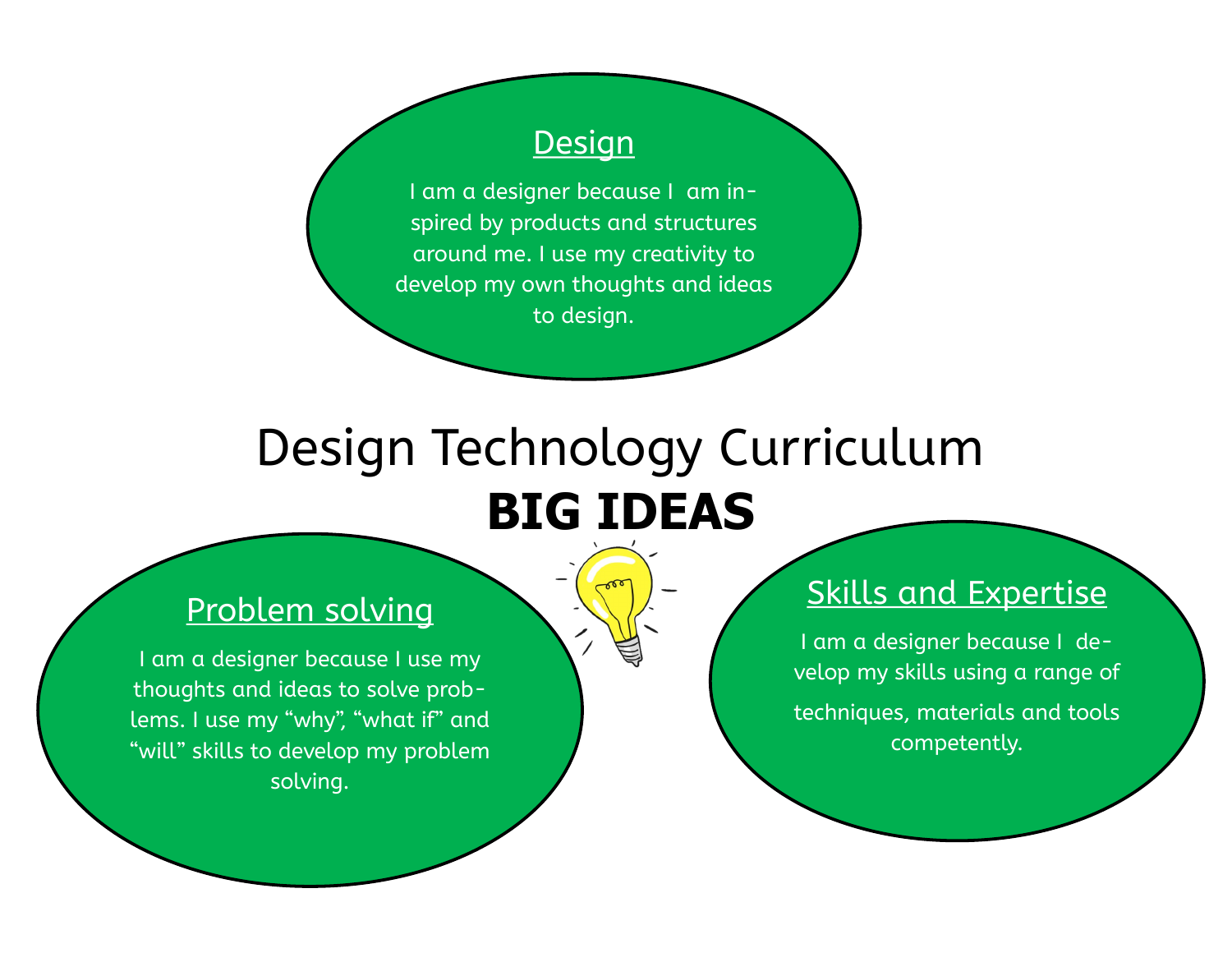#### **Design**

I am a designer because I am inspired by products and structures around me. I use my creativity to develop my own thoughts and ideas to design.

# Design Technology Curriculum **BIG IDEAS**

### Problem solving

I am a designer because I use my thoughts and ideas to solve problems. I use my "why", "what if" and "will" skills to develop my problem solving.

#### Skills and Expertise

I am a designer because I develop my skills using a range of techniques, materials and tools competently.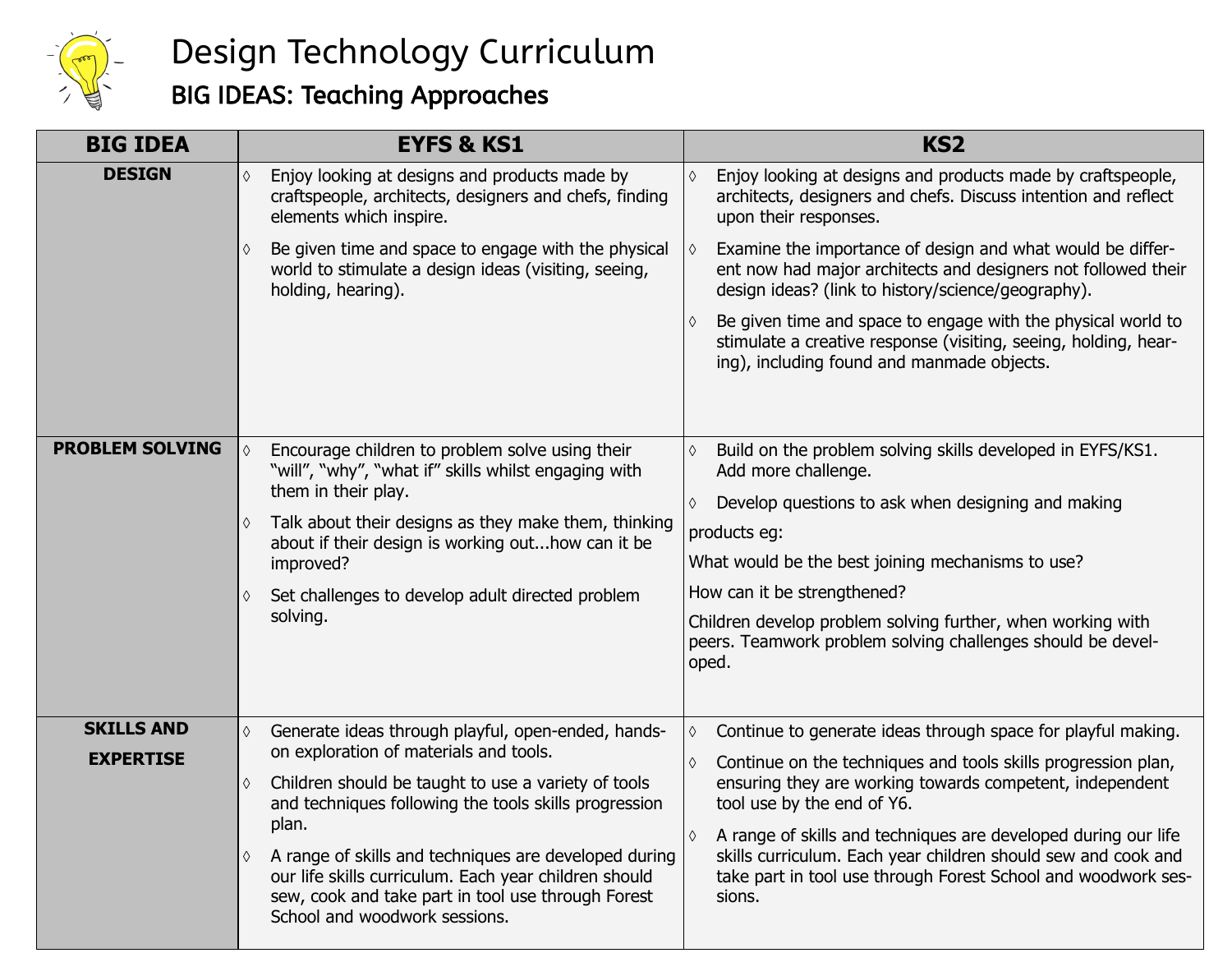

### Design Technology Curriculum

### BIG IDEAS: Teaching Approaches

| <b>BIG IDEA</b>        | <b>EYFS &amp; KS1</b>                                                                                                                                                                                               | KS <sub>2</sub>                                                                                                                                                                                            |  |  |
|------------------------|---------------------------------------------------------------------------------------------------------------------------------------------------------------------------------------------------------------------|------------------------------------------------------------------------------------------------------------------------------------------------------------------------------------------------------------|--|--|
| <b>DESIGN</b>          | Enjoy looking at designs and products made by<br>♦<br>craftspeople, architects, designers and chefs, finding<br>elements which inspire.                                                                             | Enjoy looking at designs and products made by craftspeople,<br>architects, designers and chefs. Discuss intention and reflect<br>upon their responses.                                                     |  |  |
|                        | Be given time and space to engage with the physical<br>♦<br>world to stimulate a design ideas (visiting, seeing,<br>holding, hearing).                                                                              | Examine the importance of design and what would be differ-<br>ent now had major architects and designers not followed their<br>design ideas? (link to history/science/geography).                          |  |  |
|                        |                                                                                                                                                                                                                     | Be given time and space to engage with the physical world to<br>stimulate a creative response (visiting, seeing, holding, hear-<br>ing), including found and manmade objects.                              |  |  |
|                        |                                                                                                                                                                                                                     |                                                                                                                                                                                                            |  |  |
| <b>PROBLEM SOLVING</b> | Encourage children to problem solve using their<br>$\Diamond$<br>"will", "why", "what if" skills whilst engaging with                                                                                               | Build on the problem solving skills developed in EYFS/KS1.<br>Add more challenge.                                                                                                                          |  |  |
|                        | them in their play.                                                                                                                                                                                                 | Develop questions to ask when designing and making                                                                                                                                                         |  |  |
|                        | Talk about their designs as they make them, thinking<br>about if their design is working outhow can it be                                                                                                           | products eg:                                                                                                                                                                                               |  |  |
|                        | improved?                                                                                                                                                                                                           | What would be the best joining mechanisms to use?                                                                                                                                                          |  |  |
|                        | Set challenges to develop adult directed problem<br>♦                                                                                                                                                               | How can it be strengthened?                                                                                                                                                                                |  |  |
|                        | solving.                                                                                                                                                                                                            | Children develop problem solving further, when working with<br>peers. Teamwork problem solving challenges should be devel-<br>oped.                                                                        |  |  |
| <b>SKILLS AND</b>      | Generate ideas through playful, open-ended, hands-<br>♦                                                                                                                                                             | Continue to generate ideas through space for playful making.<br>♦                                                                                                                                          |  |  |
| <b>EXPERTISE</b>       | on exploration of materials and tools.                                                                                                                                                                              |                                                                                                                                                                                                            |  |  |
|                        | Children should be taught to use a variety of tools<br>♦<br>and techniques following the tools skills progression                                                                                                   | Continue on the techniques and tools skills progression plan,<br>$\Diamond$<br>ensuring they are working towards competent, independent<br>tool use by the end of Y6.                                      |  |  |
|                        | plan.<br>A range of skills and techniques are developed during<br>♦<br>our life skills curriculum. Each year children should<br>sew, cook and take part in tool use through Forest<br>School and woodwork sessions. | A range of skills and techniques are developed during our life<br>skills curriculum. Each year children should sew and cook and<br>take part in tool use through Forest School and woodwork ses-<br>sions. |  |  |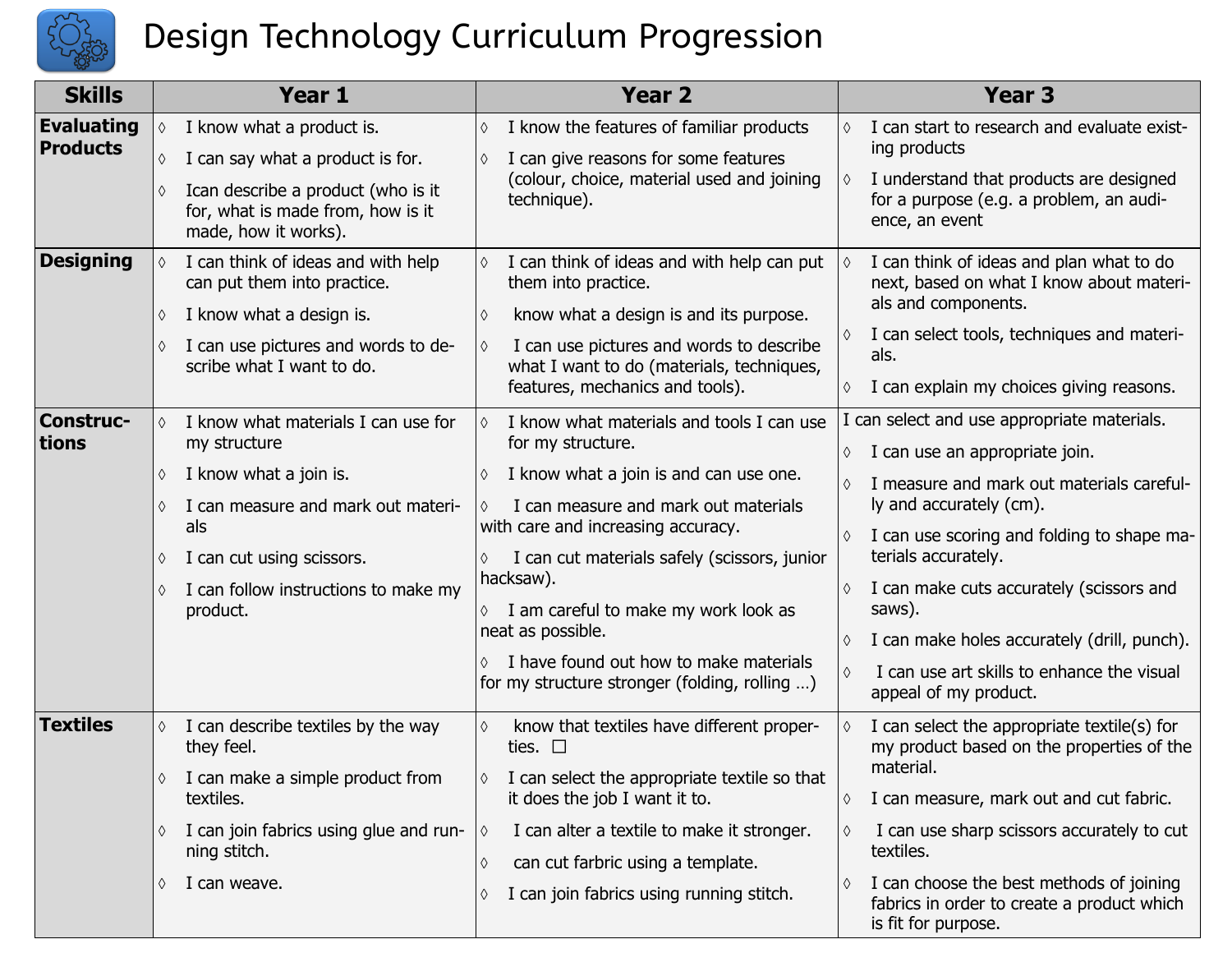

## Design Technology Curriculum Progression

| <b>Skills</b>                        | Year 1                                                                                                                                                                                                                                   | Year <sub>2</sub>                                                                                                                                                                                                                                                                                                                                                                                                      | Year <sub>3</sub>                                                                                                                                                                                                                                                                                                                                                                                                                  |  |
|--------------------------------------|------------------------------------------------------------------------------------------------------------------------------------------------------------------------------------------------------------------------------------------|------------------------------------------------------------------------------------------------------------------------------------------------------------------------------------------------------------------------------------------------------------------------------------------------------------------------------------------------------------------------------------------------------------------------|------------------------------------------------------------------------------------------------------------------------------------------------------------------------------------------------------------------------------------------------------------------------------------------------------------------------------------------------------------------------------------------------------------------------------------|--|
| <b>Evaluating</b><br><b>Products</b> | I know what a product is.<br>$\Diamond$<br>I can say what a product is for.<br>♦<br>Ican describe a product (who is it<br>for, what is made from, how is it<br>made, how it works).                                                      | I know the features of familiar products<br>♦<br>I can give reasons for some features<br>(colour, choice, material used and joining<br>technique).                                                                                                                                                                                                                                                                     | I can start to research and evaluate exist-<br>♦<br>ing products<br>I understand that products are designed<br>♦<br>for a purpose (e.g. a problem, an audi-<br>ence, an event                                                                                                                                                                                                                                                      |  |
| <b>Designing</b>                     | I can think of ideas and with help<br>$\Diamond$<br>can put them into practice.<br>I know what a design is.<br>♦<br>I can use pictures and words to de-<br>scribe what I want to do.                                                     | I can think of ideas and with help can put<br>them into practice.<br>know what a design is and its purpose.<br>I can use pictures and words to describe<br>what I want to do (materials, techniques,<br>features, mechanics and tools).                                                                                                                                                                                | I can think of ideas and plan what to do<br>♦<br>next, based on what I know about materi-<br>als and components.<br>I can select tools, techniques and materi-<br>♦<br>als.<br>I can explain my choices giving reasons.<br>♦                                                                                                                                                                                                       |  |
| <b>Construc-</b><br>tions            | I know what materials I can use for<br>$\Diamond$<br>my structure<br>I know what a join is.<br>♦<br>I can measure and mark out materi-<br>als<br>I can cut using scissors.<br>♦<br>I can follow instructions to make my<br>♦<br>product. | I know what materials and tools I can use<br>for my structure.<br>I know what a join is and can use one.<br>I can measure and mark out materials<br>with care and increasing accuracy.<br>I can cut materials safely (scissors, junior<br>hacksaw).<br>$\lozenge$ I am careful to make my work look as<br>neat as possible.<br>I have found out how to make materials<br>for my structure stronger (folding, rolling ) | can select and use appropriate materials.<br>I can use an appropriate join.<br>♦<br>I measure and mark out materials careful-<br>♦<br>ly and accurately (cm).<br>I can use scoring and folding to shape ma-<br>♦<br>terials accurately.<br>I can make cuts accurately (scissors and<br>♦<br>saws).<br>I can make holes accurately (drill, punch).<br>♦<br>I can use art skills to enhance the visual<br>♦<br>appeal of my product. |  |
| <b>Textiles</b>                      | I can describe textiles by the way<br>♦<br>they feel.<br>I can make a simple product from<br>textiles.<br>I can join fabrics using glue and run-<br>♦<br>ning stitch.<br>I can weave.<br>♦                                               | know that textiles have different proper-<br>♦<br>ties. $\square$<br>I can select the appropriate textile so that<br>it does the job I want it to.<br>I can alter a textile to make it stronger.<br>♦<br>can cut farbric using a template.<br>♦<br>I can join fabrics using running stitch.<br>♦                                                                                                                       | I can select the appropriate textile(s) for<br>♦<br>my product based on the properties of the<br>material.<br>I can measure, mark out and cut fabric.<br>♦<br>I can use sharp scissors accurately to cut<br>♦<br>textiles.<br>I can choose the best methods of joining<br>♦<br>fabrics in order to create a product which<br>is fit for purpose.                                                                                   |  |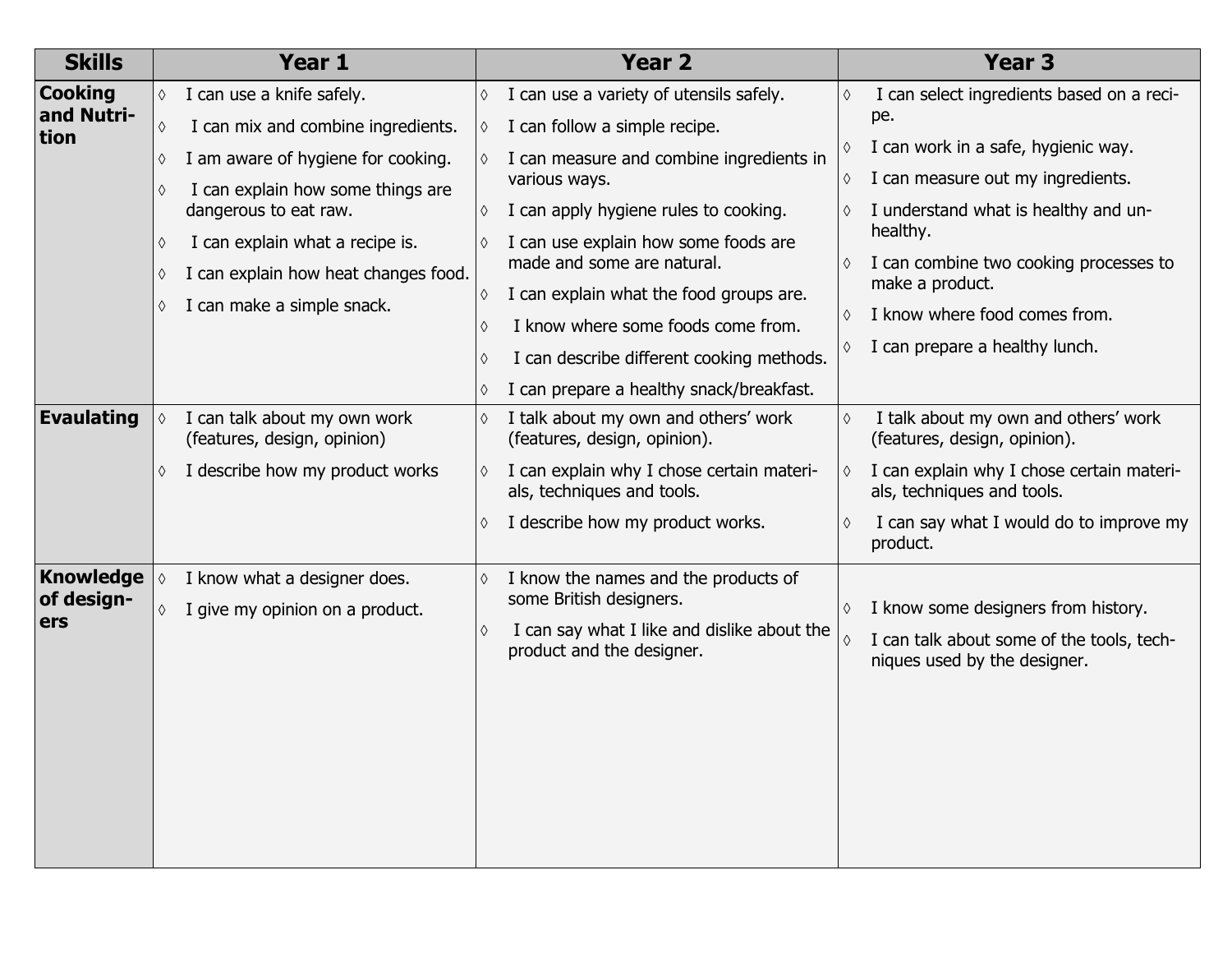| <b>Skills</b>             |            | Year 1                                                      |            | <b>Year 2</b>                                                            |            | Year <sub>3</sub>                                                         |
|---------------------------|------------|-------------------------------------------------------------|------------|--------------------------------------------------------------------------|------------|---------------------------------------------------------------------------|
| <b>Cooking</b>            | $\Diamond$ | I can use a knife safely.                                   | $\Diamond$ | I can use a variety of utensils safely.                                  | ♦          | I can select ingredients based on a reci-                                 |
| and Nutri-<br><b>tion</b> | $\Diamond$ | I can mix and combine ingredients.                          | $\Diamond$ | I can follow a simple recipe.                                            |            | pe.                                                                       |
|                           | ♦          | I am aware of hygiene for cooking.                          |            | I can measure and combine ingredients in                                 | ♦          | I can work in a safe, hygienic way.                                       |
|                           | ♦          | I can explain how some things are                           |            | various ways.                                                            | ♦          | I can measure out my ingredients.                                         |
|                           |            | dangerous to eat raw.                                       | ♦          | I can apply hygiene rules to cooking.                                    |            | I understand what is healthy and un-<br>healthy.                          |
|                           | ♦          | I can explain what a recipe is.                             |            | I can use explain how some foods are<br>made and some are natural.       | ♦          | I can combine two cooking processes to                                    |
|                           | ♦          | I can explain how heat changes food.                        |            | I can explain what the food groups are.                                  |            | make a product.                                                           |
|                           | ♦          | I can make a simple snack.                                  | ♦          | I know where some foods come from.                                       | ♦          | I know where food comes from.                                             |
|                           |            |                                                             |            |                                                                          | ♦          | I can prepare a healthy lunch.                                            |
|                           |            |                                                             |            | I can describe different cooking methods.                                |            |                                                                           |
| <b>Evaulating</b>         |            |                                                             |            | I can prepare a healthy snack/breakfast.                                 |            | I talk about my own and others' work                                      |
|                           | $\Diamond$ | I can talk about my own work<br>(features, design, opinion) | ♦          | I talk about my own and others' work<br>(features, design, opinion).     | $\Diamond$ | (features, design, opinion).                                              |
|                           | ♦          | I describe how my product works                             | ♦          | I can explain why I chose certain materi-<br>als, techniques and tools.  | $\Diamond$ | I can explain why I chose certain materi-<br>als, techniques and tools.   |
|                           |            |                                                             |            | I describe how my product works.                                         | ♦          | I can say what I would do to improve my<br>product.                       |
| Knowledge                 | $\Diamond$ | I know what a designer does.                                |            | I know the names and the products of                                     |            |                                                                           |
| of design-<br>ers         | $\Diamond$ | I give my opinion on a product.                             |            | some British designers.                                                  | ♦          | I know some designers from history.                                       |
|                           |            |                                                             |            | I can say what I like and dislike about the<br>product and the designer. |            | I can talk about some of the tools, tech-<br>niques used by the designer. |
|                           |            |                                                             |            |                                                                          |            |                                                                           |
|                           |            |                                                             |            |                                                                          |            |                                                                           |
|                           |            |                                                             |            |                                                                          |            |                                                                           |
|                           |            |                                                             |            |                                                                          |            |                                                                           |
|                           |            |                                                             |            |                                                                          |            |                                                                           |
|                           |            |                                                             |            |                                                                          |            |                                                                           |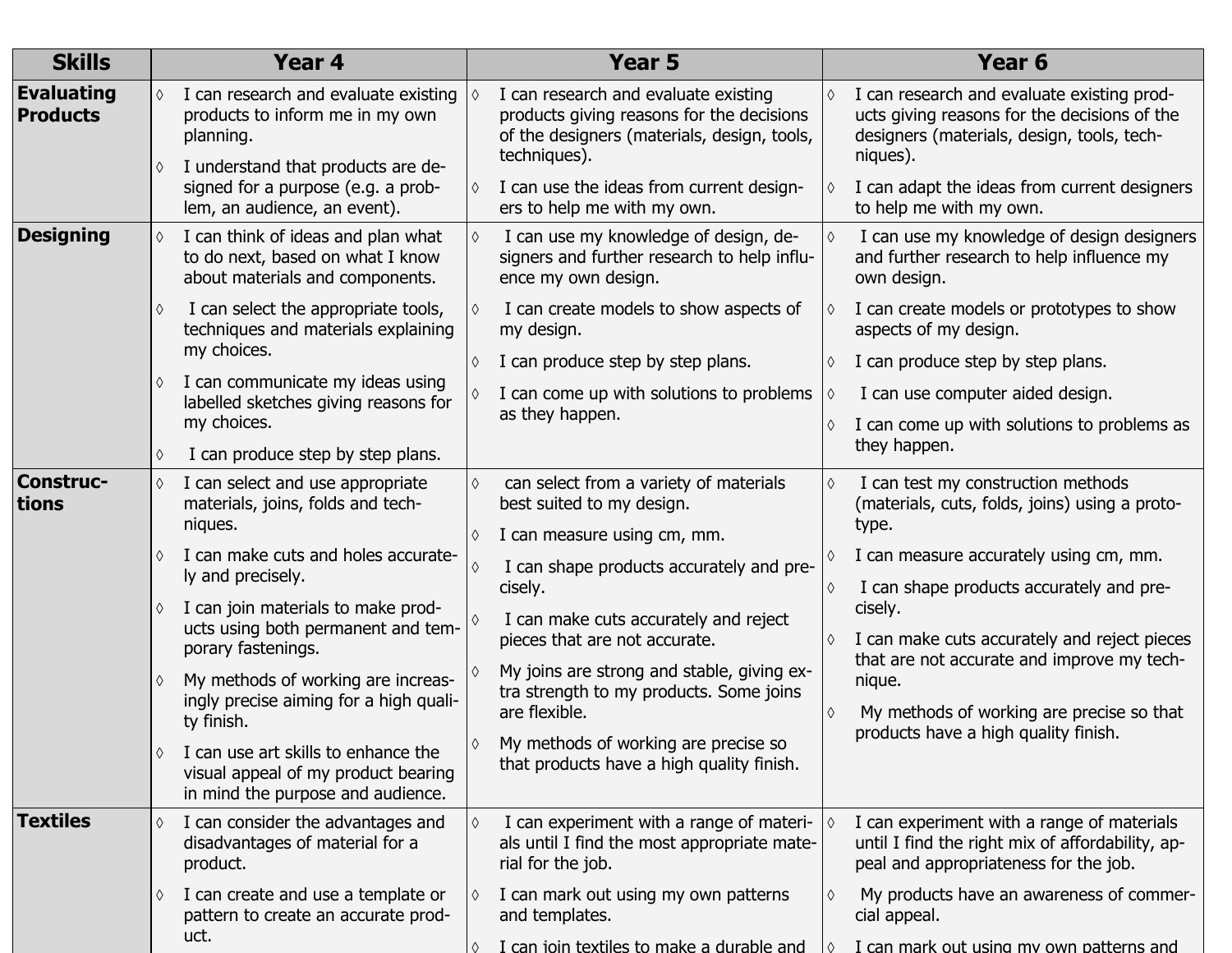| <b>Skills</b>                        | Year 4                                                                                                                          | Year 5                                                                                                                                                         | Year <sub>6</sub>                                                                                                                                                  |
|--------------------------------------|---------------------------------------------------------------------------------------------------------------------------------|----------------------------------------------------------------------------------------------------------------------------------------------------------------|--------------------------------------------------------------------------------------------------------------------------------------------------------------------|
| <b>Evaluating</b><br><b>Products</b> | I can research and evaluate existing<br>products to inform me in my own<br>planning.<br>I understand that products are de-<br>♦ | I can research and evaluate existing<br>$\Diamond$<br>products giving reasons for the decisions<br>of the designers (materials, design, tools,<br>techniques). | I can research and evaluate existing prod-<br>$\Diamond$<br>ucts giving reasons for the decisions of the<br>designers (materials, design, tools, tech-<br>niques). |
|                                      | signed for a purpose (e.g. a prob-<br>lem, an audience, an event).                                                              | I can use the ideas from current design-<br>♦<br>ers to help me with my own.                                                                                   | I can adapt the ideas from current designers<br>to help me with my own.                                                                                            |
| <b>Designing</b>                     | I can think of ideas and plan what<br>to do next, based on what I know<br>about materials and components.                       | I can use my knowledge of design, de-<br>$\Diamond$<br>signers and further research to help influ-<br>ence my own design.                                      | I can use my knowledge of design designers<br>and further research to help influence my<br>own design.                                                             |
|                                      | I can select the appropriate tools,<br>♦<br>techniques and materials explaining                                                 | I can create models to show aspects of<br>♦<br>my design.                                                                                                      | I can create models or prototypes to show<br>aspects of my design.                                                                                                 |
|                                      | my choices.                                                                                                                     | I can produce step by step plans.<br>♦                                                                                                                         | I can produce step by step plans.                                                                                                                                  |
|                                      | I can communicate my ideas using<br>♦<br>labelled sketches giving reasons for                                                   | I can come up with solutions to problems                                                                                                                       | I can use computer aided design.<br>$\Diamond$                                                                                                                     |
|                                      | my choices.<br>I can produce step by step plans.<br>♦                                                                           | as they happen.                                                                                                                                                | I can come up with solutions to problems as<br>they happen.                                                                                                        |
| <b>Construc-</b><br>tions            | I can select and use appropriate<br>$\Diamond$<br>materials, joins, folds and tech-<br>niques.                                  | can select from a variety of materials<br>♦<br>best suited to my design.<br>I can measure using cm, mm.<br>♦                                                   | I can test my construction methods<br>(materials, cuts, folds, joins) using a proto-<br>type.                                                                      |
|                                      | I can make cuts and holes accurate-<br>ly and precisely.                                                                        | I can shape products accurately and pre-<br>cisely.                                                                                                            | I can measure accurately using cm, mm.<br>I can shape products accurately and pre-                                                                                 |
|                                      | I can join materials to make prod-<br>♦<br>ucts using both permanent and tem-<br>porary fastenings.                             | I can make cuts accurately and reject<br>pieces that are not accurate.                                                                                         | cisely.<br>I can make cuts accurately and reject pieces                                                                                                            |
|                                      | My methods of working are increas-<br>♦<br>ingly precise aiming for a high quali-                                               | My joins are strong and stable, giving ex-<br>tra strength to my products. Some joins                                                                          | that are not accurate and improve my tech-<br>nique.                                                                                                               |
|                                      | ty finish.                                                                                                                      | are flexible.                                                                                                                                                  | My methods of working are precise so that<br>products have a high quality finish.                                                                                  |
|                                      | I can use art skills to enhance the<br>visual appeal of my product bearing<br>in mind the purpose and audience.                 | My methods of working are precise so<br>that products have a high quality finish.                                                                              |                                                                                                                                                                    |
| <b>Textiles</b>                      | I can consider the advantages and<br>$\Diamond$<br>disadvantages of material for a<br>product.                                  | I can experiment with a range of materi-<br>♦<br>als until I find the most appropriate mate-<br>rial for the job.                                              | I can experiment with a range of materials<br>until I find the right mix of affordability, ap-<br>peal and appropriateness for the job.                            |
|                                      | I can create and use a template or<br>♦<br>pattern to create an accurate prod-<br>uct.                                          | I can mark out using my own patterns<br>♦<br>and templates.                                                                                                    | My products have an awareness of commer-<br>cial appeal.                                                                                                           |
|                                      |                                                                                                                                 | I can join textiles to make a durable and                                                                                                                      | I can mark out using my own patterns and<br>$\wedge$                                                                                                               |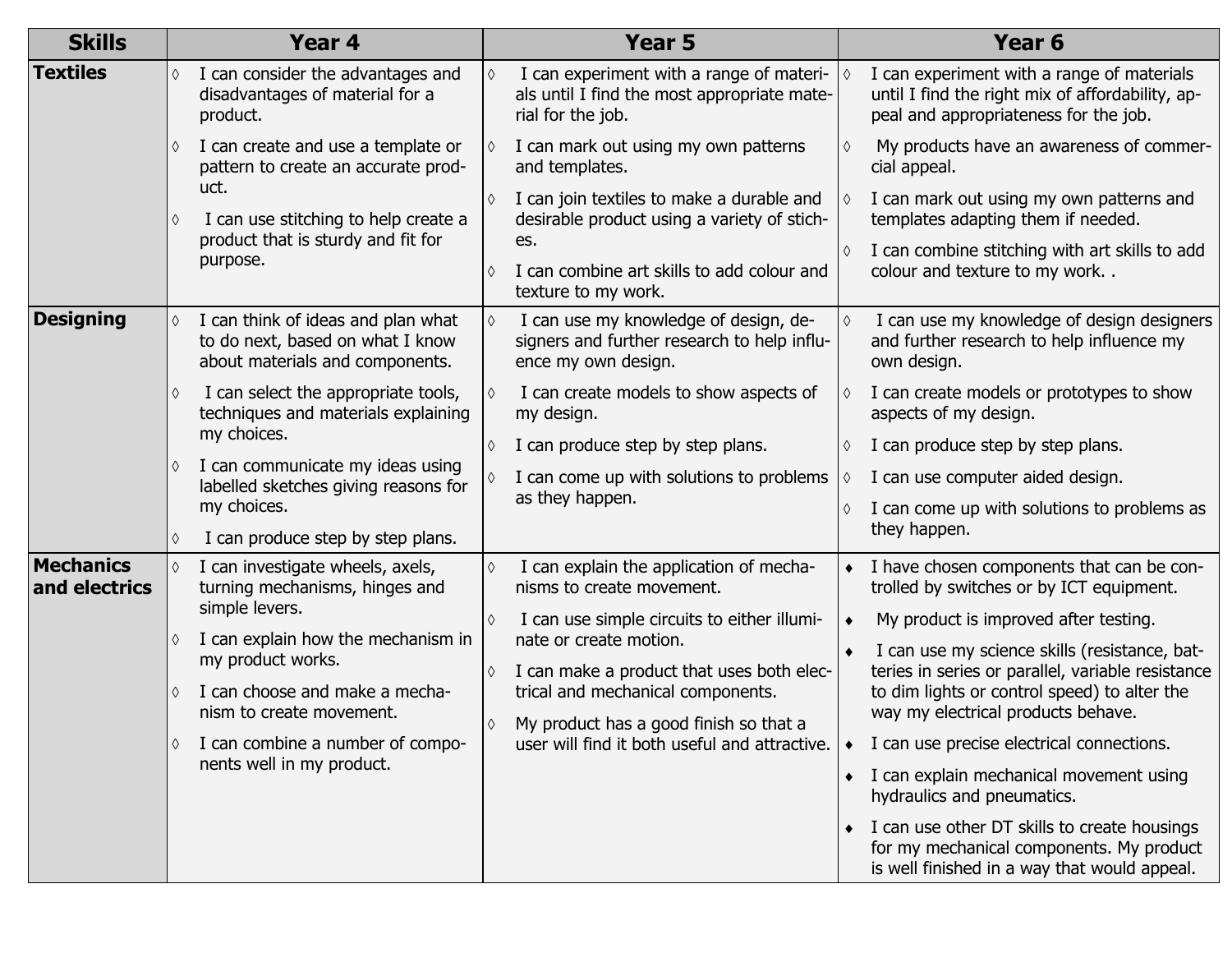| <b>Skills</b>                     |                                                         | Year 4                                                                                                    |            | Year 5                                                                                                       |           | Year <sub>6</sub>                                                                                                                        |
|-----------------------------------|---------------------------------------------------------|-----------------------------------------------------------------------------------------------------------|------------|--------------------------------------------------------------------------------------------------------------|-----------|------------------------------------------------------------------------------------------------------------------------------------------|
| <b>Textiles</b>                   | $\Diamond$                                              | I can consider the advantages and<br>disadvantages of material for a<br>product.                          | ♦          | I can experiment with a range of materi-<br>als until I find the most appropriate mate-<br>rial for the job. |           | I can experiment with a range of materials<br>until I find the right mix of affordability, ap-<br>peal and appropriateness for the job.  |
|                                   |                                                         | I can create and use a template or<br>pattern to create an accurate prod-                                 |            | I can mark out using my own patterns<br>and templates.                                                       |           | My products have an awareness of commer-<br>cial appeal.                                                                                 |
|                                   | ♦                                                       | uct.<br>I can use stitching to help create a                                                              | ♦          | I can join textiles to make a durable and<br>desirable product using a variety of stich-                     |           | I can mark out using my own patterns and<br>templates adapting them if needed.                                                           |
|                                   |                                                         | product that is sturdy and fit for<br>purpose.                                                            |            | es.<br>I can combine art skills to add colour and<br>texture to my work.                                     |           | I can combine stitching with art skills to add<br>colour and texture to my work                                                          |
| <b>Designing</b>                  |                                                         | I can think of ideas and plan what<br>to do next, based on what I know<br>about materials and components. | $\Diamond$ | I can use my knowledge of design, de-<br>signers and further research to help influ-<br>ence my own design.  |           | I can use my knowledge of design designers<br>and further research to help influence my<br>own design.                                   |
|                                   | ♦                                                       | I can select the appropriate tools,<br>techniques and materials explaining                                |            | I can create models to show aspects of<br>my design.                                                         | ♦         | I can create models or prototypes to show<br>aspects of my design.                                                                       |
|                                   |                                                         | my choices.                                                                                               | ♦          | I can produce step by step plans.                                                                            | ♦         | I can produce step by step plans.                                                                                                        |
|                                   |                                                         | I can communicate my ideas using<br>labelled sketches giving reasons for                                  |            | I can come up with solutions to problems                                                                     | ♦         | I can use computer aided design.                                                                                                         |
|                                   |                                                         | my choices.                                                                                               |            | as they happen.                                                                                              | ♦         | I can come up with solutions to problems as                                                                                              |
|                                   |                                                         | I can produce step by step plans.                                                                         |            |                                                                                                              |           | they happen.                                                                                                                             |
| <b>Mechanics</b><br>and electrics |                                                         | I can investigate wheels, axels,<br>turning mechanisms, hinges and                                        | ♦          | I can explain the application of mecha-<br>nisms to create movement.                                         |           | I have chosen components that can be con-<br>trolled by switches or by ICT equipment.                                                    |
|                                   |                                                         | simple levers.                                                                                            | ♦          | I can use simple circuits to either illumi-                                                                  |           | My product is improved after testing.                                                                                                    |
| ♦<br>♦<br>♦                       | I can explain how the mechanism in<br>my product works. | nate or create motion.                                                                                    |            | I can use my science skills (resistance, bat-                                                                |           |                                                                                                                                          |
|                                   |                                                         | ♦<br>I can choose and make a mecha-<br>nism to create movement.<br>I can combine a number of compo-       |            | I can make a product that uses both elec-<br>trical and mechanical components.                               |           | teries in series or parallel, variable resistance<br>to dim lights or control speed) to alter the                                        |
|                                   |                                                         |                                                                                                           |            | My product has a good finish so that a                                                                       |           | way my electrical products behave.                                                                                                       |
|                                   |                                                         |                                                                                                           |            | user will find it both useful and attractive.                                                                |           | I can use precise electrical connections.                                                                                                |
|                                   |                                                         | nents well in my product.                                                                                 |            |                                                                                                              | $\bullet$ | I can explain mechanical movement using<br>hydraulics and pneumatics.                                                                    |
|                                   |                                                         |                                                                                                           |            |                                                                                                              |           | I can use other DT skills to create housings<br>for my mechanical components. My product<br>is well finished in a way that would appeal. |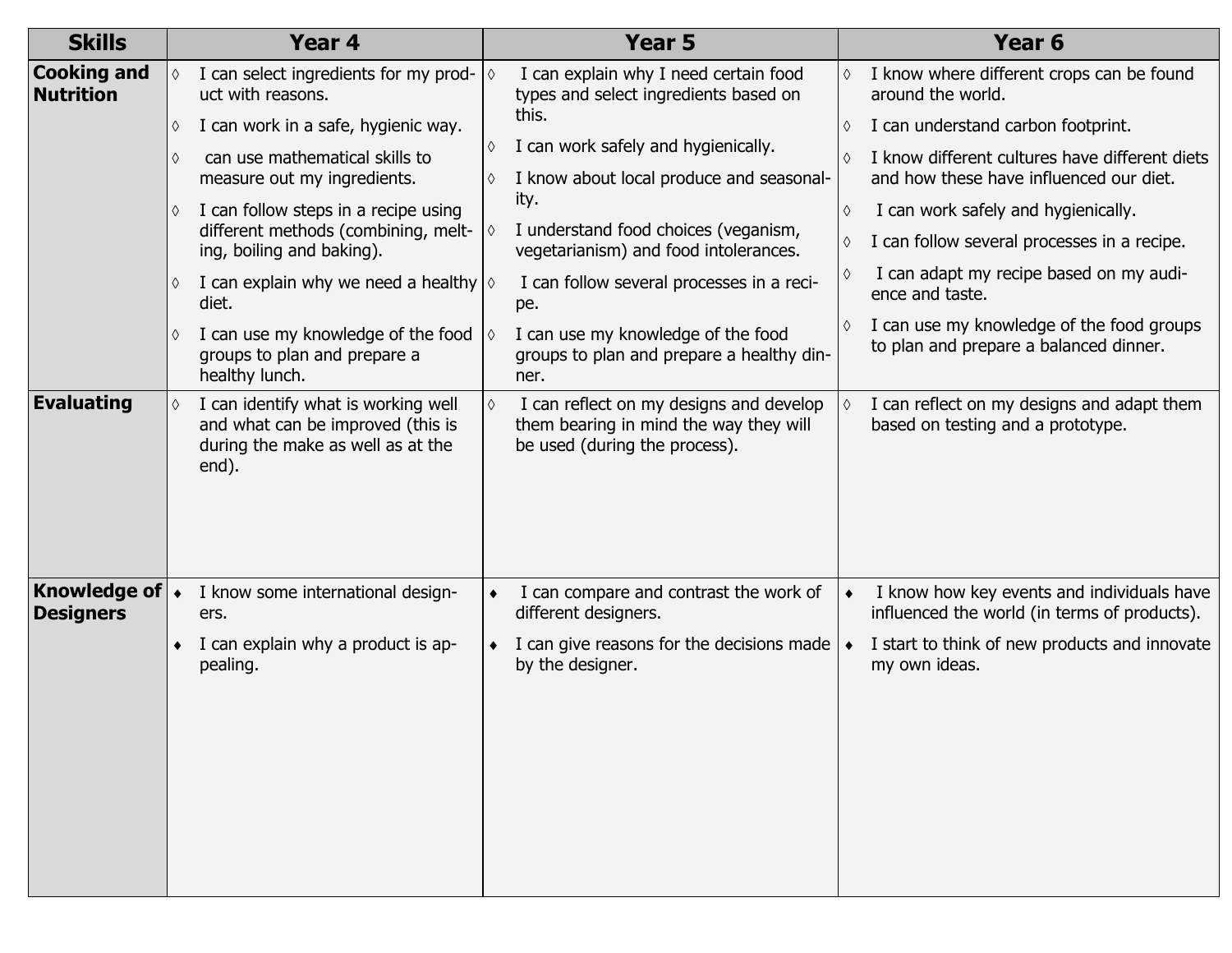| <b>Skills</b>                            |                 | Year 4                                                                                                                 |                    | Year 5                                                                                                             |   | Year <sub>6</sub>                                                                          |
|------------------------------------------|-----------------|------------------------------------------------------------------------------------------------------------------------|--------------------|--------------------------------------------------------------------------------------------------------------------|---|--------------------------------------------------------------------------------------------|
| <b>Cooking and</b><br><b>Nutrition</b>   | ♦               | I can select ingredients for my prod-<br>uct with reasons.                                                             | $\overline{\circ}$ | I can explain why I need certain food<br>types and select ingredients based on                                     | ♦ | I know where different crops can be found<br>around the world.                             |
|                                          | ♦               | I can work in a safe, hygienic way.                                                                                    |                    | this.                                                                                                              | ♦ | I can understand carbon footprint.                                                         |
|                                          | $\Diamond$      | can use mathematical skills to<br>measure out my ingredients.                                                          | ♦                  | I can work safely and hygienically.<br>I know about local produce and seasonal-                                    |   | I know different cultures have different diets<br>and how these have influenced our diet.  |
|                                          | ♦               | I can follow steps in a recipe using                                                                                   |                    | ity.                                                                                                               | ♦ | I can work safely and hygienically.                                                        |
|                                          |                 | different methods (combining, melt-<br>ing, boiling and baking).                                                       |                    | I understand food choices (veganism,<br>vegetarianism) and food intolerances.                                      | ♦ | I can follow several processes in a recipe.                                                |
|                                          | ♦               | I can explain why we need a healthy $\Diamond$<br>diet.                                                                |                    | I can follow several processes in a reci-<br>pe.                                                                   |   | I can adapt my recipe based on my audi-<br>ence and taste.                                 |
|                                          | ♦               | I can use my knowledge of the food<br>groups to plan and prepare a<br>healthy lunch.                                   |                    | I can use my knowledge of the food<br>groups to plan and prepare a healthy din-<br>ner.                            | ♦ | I can use my knowledge of the food groups<br>to plan and prepare a balanced dinner.        |
| <b>Evaluating</b>                        | $\Diamond$      | I can identify what is working well<br>and what can be improved (this is<br>during the make as well as at the<br>end). | $\Diamond$         | I can reflect on my designs and develop<br>them bearing in mind the way they will<br>be used (during the process). |   | I can reflect on my designs and adapt them<br>based on testing and a prototype.            |
| Knowledge of $\cdot$<br><b>Designers</b> |                 | I know some international design-<br>ers.                                                                              |                    | I can compare and contrast the work of<br>different designers.                                                     |   | I know how key events and individuals have<br>influenced the world (in terms of products). |
|                                          | $\blacklozenge$ | I can explain why a product is ap-<br>pealing.                                                                         | $\bullet$          | I can give reasons for the decisions made<br>by the designer.                                                      |   | I start to think of new products and innovate<br>my own ideas.                             |